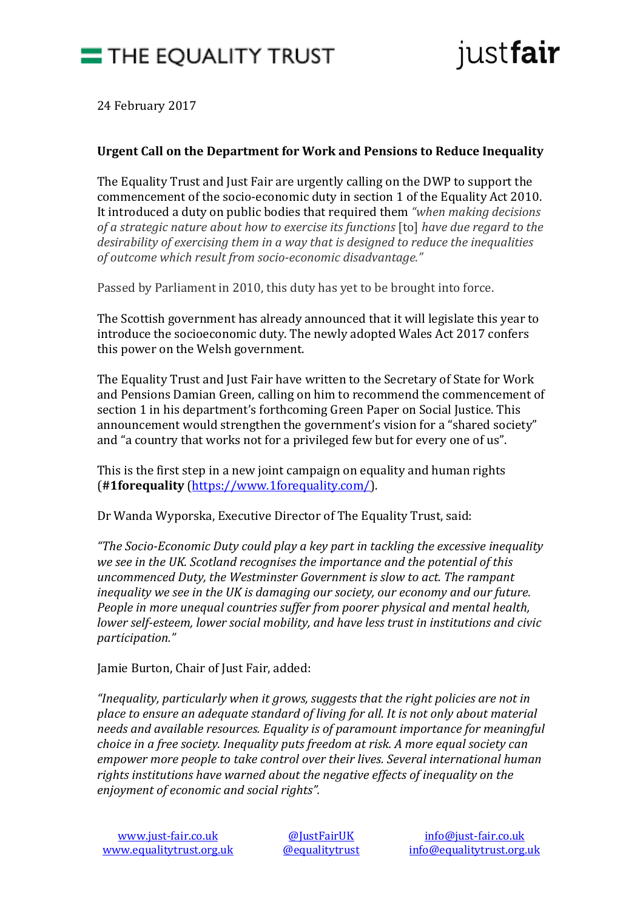



24 February 2017

## **Urgent Call on the Department for Work and Pensions to Reduce Inequality**

The Equality Trust and Just Fair are urgently calling on the DWP to support the commencement of the socio-economic duty in section 1 of the Equality Act 2010. It introduced a duty on public bodies that required them *"when making decisions of a strategic nature about how to exercise its functions* [to] *have due regard to the desirability of exercising them in a way that is designed to reduce the inequalities of outcome which result from socio-economic disadvantage."*

Passed by Parliament in 2010, this duty has yet to be brought into force.

The Scottish government has already announced that it will legislate this year to introduce the socioeconomic duty. The newly adopted Wales Act 2017 confers this power on the Welsh government.

The Equality Trust and Just Fair have written to the Secretary of State for Work and Pensions Damian Green, calling on him to recommend the commencement of section 1 in his department's forthcoming Green Paper on Social Justice. This announcement would strengthen the government's vision for a "shared society" and "a country that works not for a privileged few but for every one of us".

This is the first step in a new joint campaign on equality and human rights (**#1forequality** [\(https://www.1forequality.com/\)](https://www.1forequality.com/).

Dr Wanda Wyporska, Executive Director of The Equality Trust, said:

*"The Socio-Economic Duty could play a key part in tackling the excessive inequality we see in the UK. Scotland recognises the importance and the potential of this uncommenced Duty, the Westminster Government is slow to act. The rampant inequality we see in the UK is damaging our society, our economy and our future. People in more unequal countries suffer from poorer physical and mental health, lower self-esteem, lower social mobility, and have less trust in institutions and civic participation."*

Jamie Burton, Chair of Just Fair, added:

*"Inequality, particularly when it grows, suggests that the right policies are not in place to ensure an adequate standard of living for all. It is not only about material needs and available resources. Equality is of paramount importance for meaningful choice in a free society. Inequality puts freedom at risk. A more equal society can empower more people to take control over their lives. Several international human rights institutions have warned about the negative effects of inequality on the enjoyment of economic and social rights".*